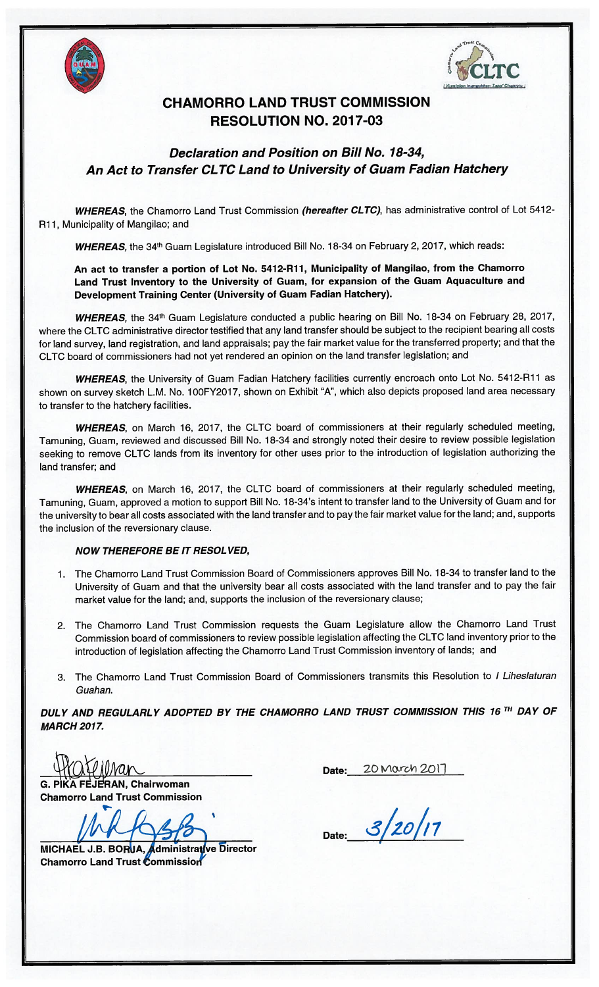



### CHAMORRO LAND TRUST COMMISSION RESOLUTION NO. 2017-03

Declaration and Position on Bill No. 18-34, An Act to Transfer CLTC Land to University of Guam Fadian Hatchery

WHEREAS, the Chamorro Land Trust Commission (hereafter CLTC), has administrative control of Lot 5412-R11, Municipality of Mangilao; and

WHEREAS, the 34<sup>th</sup> Guam Legislature introduced Bill No. 18-34 on February 2, 2017, which reads:

An act to transfer a portion of Lot No. 5412-R11, Municipality of Mangilao, from the Chamorro Land Trust Inventory to the University of Guam, for expansion of the Guam Aquaculture and Development Training Center (University of Guam Fadian Hatchery).

WHEREAS, the 34<sup>th</sup> Guam Legislature conducted a public hearing on Bill No. 18-34 on February 28, 2017, where the CLTC administrative director testified that any land transfer should be subject to the recipient bearing all costs for land survey, land registration, and land appraisals; pay the fair market value for the transferred property; and that the CLTC board of commissioners had not yet rendered an opinion on the land transfer legislation; and

WHEREAS, the University of Guam Fadian Hatchery facilities currently encroach onto Lot No. 5412-R11 as shown on survey sketch L.M. No. 100FY2017, shown on Exhibit "A", which also depicts proposed land area necessary to transfer to the hatchery facilities.

WHEREAS, on March 16, 2017, the CLTC board of commissioners at their regularly scheduled meeting, Tamuning, Guam, reviewed and discussed Bill No. 18-34 and strongly noted their desire to review possible legislation seeking to remove CLTC lands from its inventory for other uses prior to the introduction of legislation authorizing the land transfer; and

WHEREAS, on March 16, 2017, the CLTC board of commissioners at their regularly scheduled meeting, Tamuning, Guam, approved a motion to support Bill No. 18-34's intent to transfer land to the University of Guam and for the university to bear all costs associated with the land transfer and to pay the fair market value for the land; and, supports the inclusion of the reversionary clause.

### NOW THEREFORE BE IT RESOL VED,

- 1. The Chamorro Land Trust Commission Board of Commissioners approves Bill No. 18-34 to transfer land to the University of Guam and that the university bear all costs associated with the land transfer and to pay the fair market value for the land; and, supports the inclusion of the reversionary clause;
- 2. The Chamorro Land Trust Commission requests the Guam Legislature allow the Chamorro Land Trust Commission board of commissioners to review possible legislation affecting the CLTC land inventory prior to the introduction of legislation affecting the Chamorro Land Trust Commission inventory of lands; and
- 3. The Chamorro Land Trust Commission Board of Commissioners transmits this Resolution to <sup>I</sup> Liheslaturan Guahan.

DULY AND REGULARLY ADOPTED BY THE CHAMORRO LAND TRUST COMMISSION THIS 16<sup>TH</sup> DAY OF MARCH 2017.

Date:  $20$  March  $201$ 

G. PIKA FEJERAN, Chairwoman Chamorro Land Trust Commission

S

Date:

MICHAEL J.B. BORUA, Administrative Director Chamorro Land Trust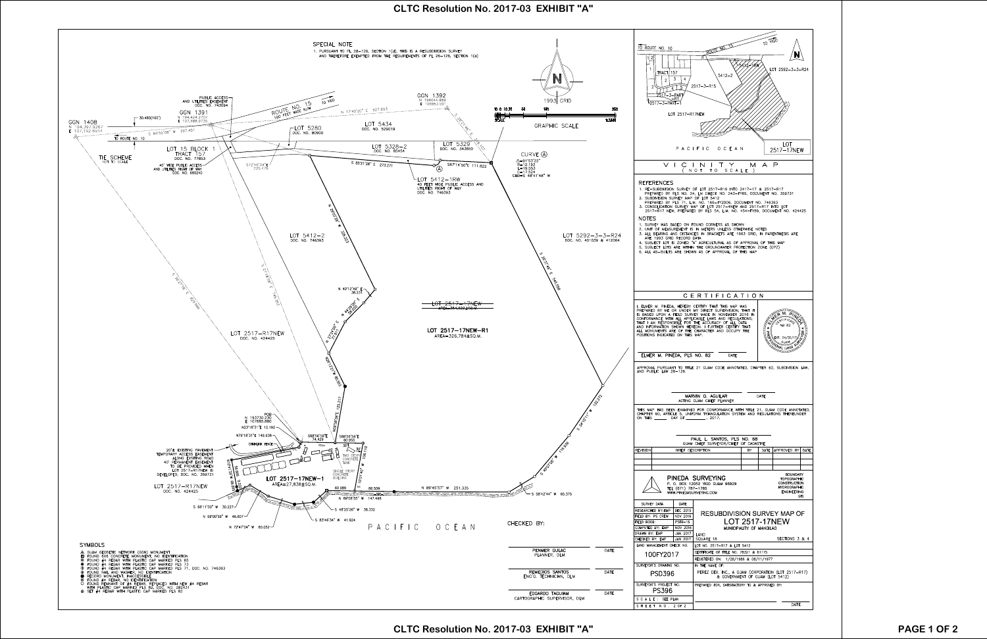## **CLTC Resolution No. 2017-03 EXHIBIT "A"**